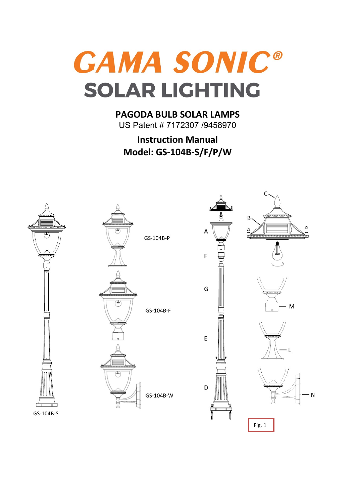**GAMA SONIC® SOLAR LIGHTING** 

**PAGODA BULB SOLAR LAMPS** US Patent # 7172307 /9458970

**Instruction Manual Model: GS-104B-S/F/P/W**

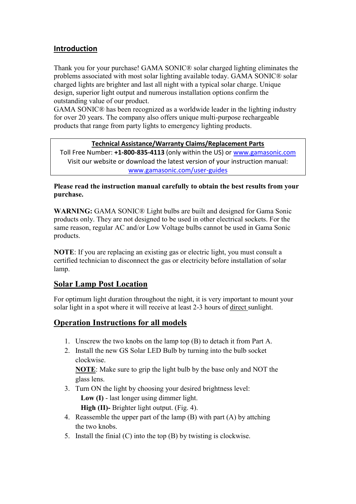## **Introduction**

Thank you for your purchase! GAMA SONIC® solar charged lighting eliminates the problems associated with most solar lighting available today. GAMA SONIC® solar charged lights are brighter and last all night with a typical solar charge. Unique design, superior light output and numerous installation options confirm the outstanding value of our product.

GAMA SONIC® has been recognized as a worldwide leader in the lighting industry for over 20 years. The company also offers unique multi-purpose rechargeable products that range from party lights to emergency lighting products.

#### **Technical Assistance/Warranty Claims/Replacement Parts**

Toll Free Number: **+1-800-835-4113** (only within the US) or [www.gamasonic.com](file:///C:/Users/PM/AppData/Local/Microsoft/Windows/Temporary%20Internet%20Files/Content.Outlook/W5KHCU4N/www.gamasonic.com) Visit our website or download the latest version of your instruction manual: [www.gamasonic.com/user-guides](http://www.gamasonic.com/user-guides)

**Please read the instruction manual carefully to obtain the best results from your purchase.**

**WARNING:** GAMA SONIC® Light bulbs are built and designed for Gama Sonic products only. They are not designed to be used in other electrical sockets. For the same reason, regular AC and/or Low Voltage bulbs cannot be used in Gama Sonic products.

**NOTE**: If you are replacing an existing gas or electric light, you must consult a certified technician to disconnect the gas or electricity before installation of solar lamp.

### **Solar Lamp Post Location**

For optimum light duration throughout the night, it is very important to mount your solar light in a spot where it will receive at least 2-3 hours of direct sunlight.

### **Operation Instructions for all models**

- 1. Unscrew the two knobs on the lamp top (B) to detach it from Part A.
- 2. Install the new GS Solar LED Bulb by turning into the bulb socket clockwise.

**NOTE**: Make sure to grip the light bulb by the base only and NOT the glass lens.

3. Turn ON the light by choosing your desired brightness level:

 **Low (I)** - last longer using dimmer light.

 **High (II)-** Brighter light output. (Fig. 4).

- 4. Reassemble the upper part of the lamp (B) with part (A) by attching the two knobs.
- 5. Install the finial (C) into the top (B) by twisting is clockwise.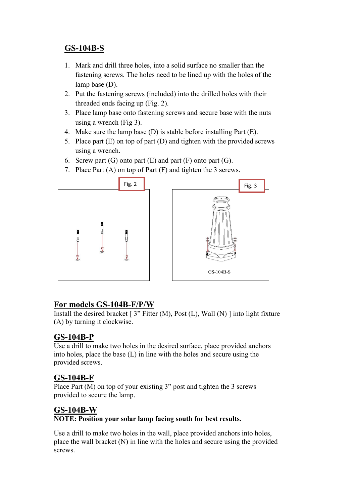## **GS-104B-S**

- 1. Mark and drill three holes, into a solid surface no smaller than the fastening screws. The holes need to be lined up with the holes of the lamp base (D).
- 2. Put the fastening screws (included) into the drilled holes with their threaded ends facing up (Fig. 2).
- 3. Place lamp base onto fastening screws and secure base with the nuts using a wrench (Fig 3).
- 4. Make sure the lamp base (D) is stable before installing Part (E).
- 5. Place part (E) on top of part (D) and tighten with the provided screws using a wrench.
- 6. Screw part  $(G)$  onto part  $(E)$  and part  $(F)$  onto part  $(G)$ .
- 7. Place Part (A) on top of Part (F) and tighten the 3 screws.



### **For models GS-104B-F/P/W**

Install the desired bracket  $[3"$  Fitter (M), Post (L), Wall (N) ] into light fixture (A) by turning it clockwise.

### **GS-104B-P**

Use a drill to make two holes in the desired surface, place provided anchors into holes, place the base (L) in line with the holes and secure using the provided screws.

### **GS-104B-F**

Place Part (M) on top of your existing 3" post and tighten the 3 screws provided to secure the lamp.

### **GS-104B-W**

#### **NOTE: Position your solar lamp facing south for best results.**

Use a drill to make two holes in the wall, place provided anchors into holes, place the wall bracket (N) in line with the holes and secure using the provided screws.